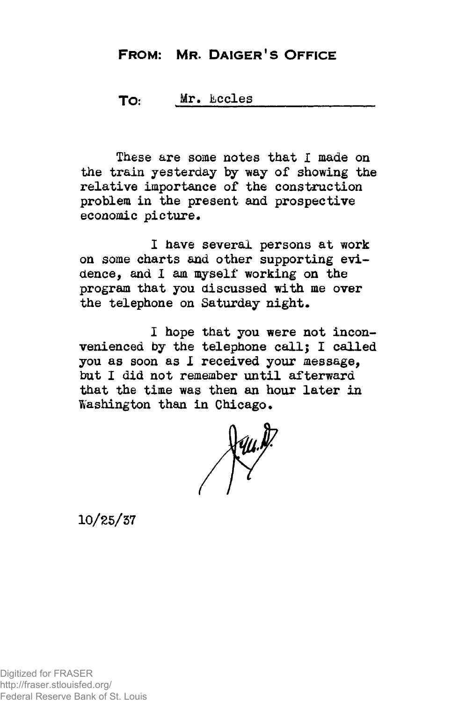## **FROM: MR. DAIGER! S OFFICE**

## TO: Mr, kccles

These are some notes that I made on the train yesterday by way of showing the relative importance of the construction problem in the present and prospective economic picture.

I have several persons at work on some charts and other supporting evidence, and 1 am myself working on the program that you discussed with me over the telephone on Saturday night.

I hope that you were not inconvenienced by the telephone call; I called you as soon as 1 received your message, but I did not remember until afterward that the time was then an hour later in Washington than in Chicago.

 $\sqrt{4\mu}$ 

10/25/57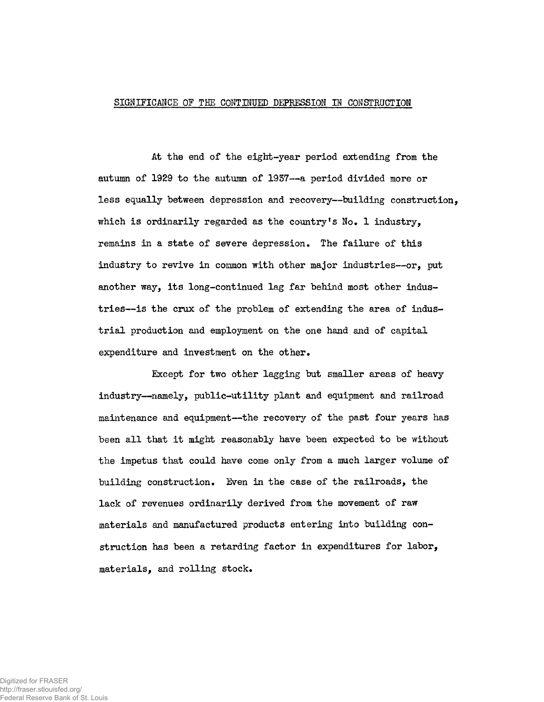## SIGNIFICANCE OF THE CONTINUED DEPRESSION IN CONSTRUCTION

At the end of the eighk-year period extending from the autumn of 1929 to the autumn of 1957—a period divided more or less equally between depression and recovery—building construction, which is ordinarily regarded as the country's  $No. 1$  industry. remains in a state of severe depression. The failure of this industry to revive in common with other major industries—or, put another way, its long-continued lag far behind most other industries—is the crux of the problem of extending the area of industrial production and employment on the one hand and of capital expenditure and investment on the other.

Except for two other lagging but smaller areas of heavy industry—namely, public-utility plant and equipment and railroad maintenance and equipment—the recovery of the past four years has been all that it might reasonably have been expected to be without the impetus that could have come only from a much larger volume of building construction. Even in the case of the railroads, the lack of revenues ordinarily derived from the movement of raw materials and manufactured products entering into building construction has been a retarding factor in expenditures for labor, materials, and rolling stock.

Digitized for FRASER http://fraser.stlouisfed.org/ Federal Reserve Bank of St. Louis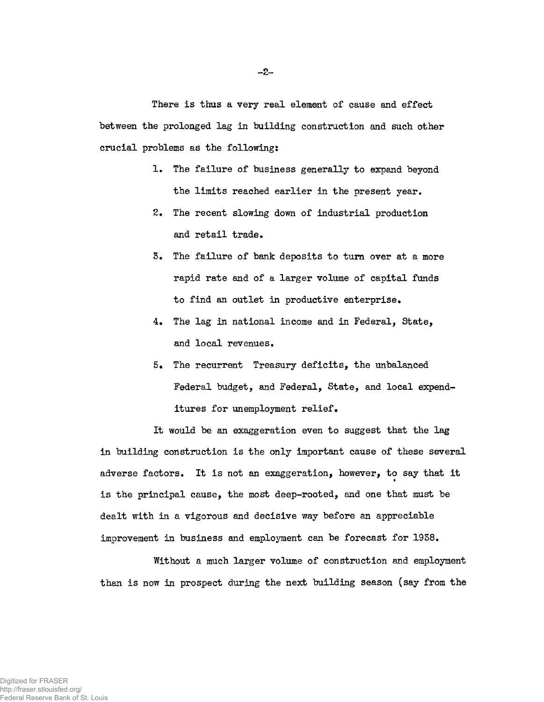There is thus a very real element of cause and effect between the prolonged lag in building construction and such other crucial problems as the following:

- 1. The failure of business generally to expand beyond the limits reached earlier in the present year.
- 2. The recent slowing down of industrial production and retail trade.
- 5. The failure of bank deposits to turn over at a more rapid rate and of a larger volume of capital funds to find an outlet in productive enterprise.
- 4. The lag in national income and in Federal, State, and local revenues.
- 5. The recurrent Treasury deficits, the unbalanced Federal budget, and Federal, State, and local expenditures for unemployment relief•

It would be an exaggeration even to suggest that the lag in building construction is the only important cause of these several adverse factors. It is not an exaggeration, however, to say that it is the principal cause, the most deep-rooted, and one that must be dealt with in a vigorous and decisive way before an appreciable improvement in business and employment can be forecast for 1958.

Without a much larger volume of construction and employment than is now in prospect during the next building season (say from the